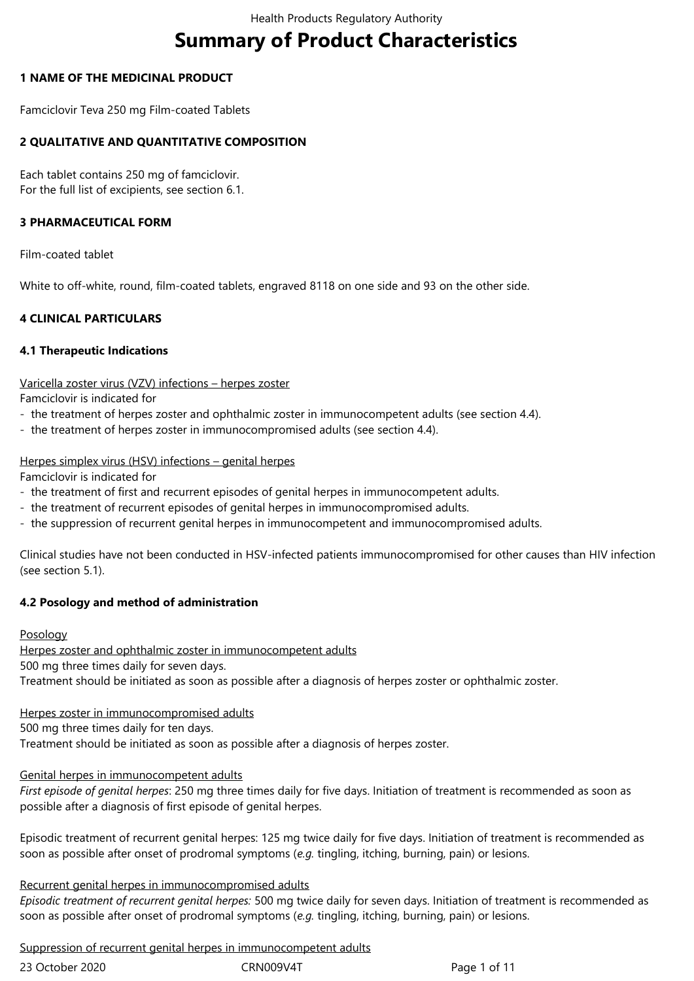# **Summary of Product Characteristics**

## **1 NAME OF THE MEDICINAL PRODUCT**

Famciclovir Teva 250 mg Film-coated Tablets

## **2 QUALITATIVE AND QUANTITATIVE COMPOSITION**

Each tablet contains 250 mg of famciclovir. For the full list of excipients, see section 6.1.

## **3 PHARMACEUTICAL FORM**

Film-coated tablet

White to off-white, round, film-coated tablets, engraved 8118 on one side and 93 on the other side.

## **4 CLINICAL PARTICULARS**

#### **4.1 Therapeutic Indications**

#### Varicella zoster virus (VZV) infections – herpes zoster

Famciclovir is indicated for

- the treatment of herpes zoster and ophthalmic zoster in immunocompetent adults (see section 4.4).
- the treatment of herpes zoster in immunocompromised adults (see section 4.4).

#### Herpes simplex virus (HSV) infections – genital herpes

Famciclovir is indicated for

- the treatment of first and recurrent episodes of genital herpes in immunocompetent adults.
- the treatment of recurrent episodes of genital herpes in immunocompromised adults.
- the suppression of recurrent genital herpes in immunocompetent and immunocompromised adults.

Clinical studies have not been conducted in HSV‑infected patients immunocompromised for other causes than HIV infection (see section 5.1).

## **4.2 Posology and method of administration**

#### Posology

Herpes zoster and ophthalmic zoster in immunocompetent adults

500 mg three times daily for seven days.

Treatment should be initiated as soon as possible after a diagnosis of herpes zoster or ophthalmic zoster.

Herpes zoster in immunocompromised adults

500 mg three times daily for ten days.

Treatment should be initiated as soon as possible after a diagnosis of herpes zoster.

#### Genital herpes in immunocompetent adults

*First episode of genital herpes*: 250 mg three times daily for five days. Initiation of treatment is recommended as soon as possible after a diagnosis of first episode of genital herpes.

Episodic treatment of recurrent genital herpes: 125 mg twice daily for five days. Initiation of treatment is recommended as soon as possible after onset of prodromal symptoms (*e.g.* tingling, itching, burning, pain) or lesions.

## Recurrent genital herpes in immunocompromised adults

*Episodic treatment of recurrent genital herpes:* 500 mg twice daily for seven days. Initiation of treatment is recommended as soon as possible after onset of prodromal symptoms (*e.g.* tingling, itching, burning, pain) or lesions.

Suppression of recurrent genital herpes in immunocompetent adults

| 23 October 2020 |  |
|-----------------|--|
|                 |  |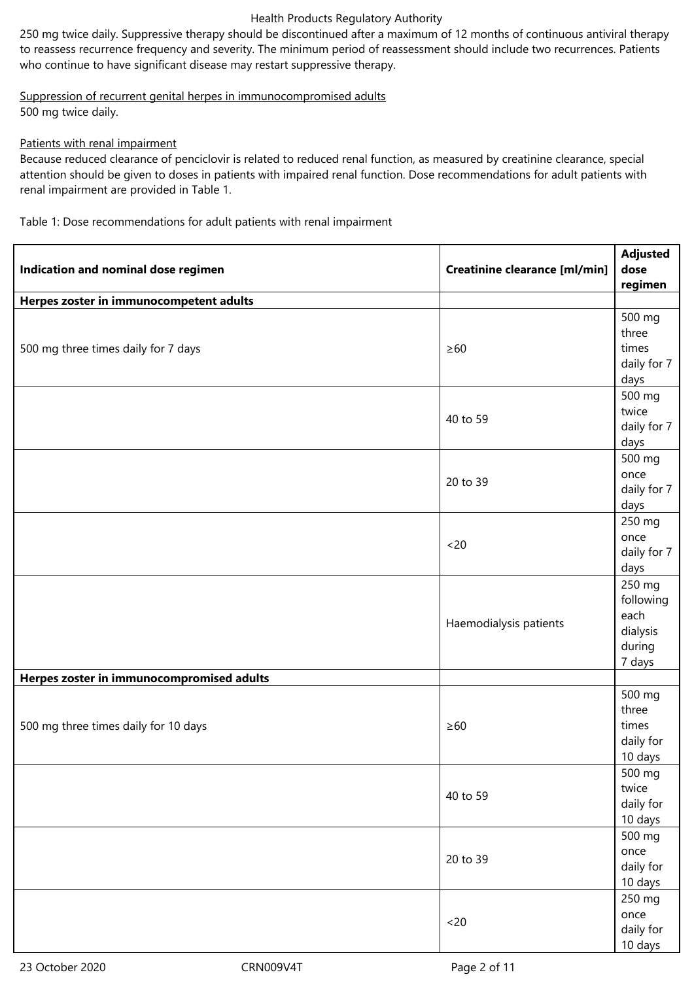250 mg twice daily. Suppressive therapy should be discontinued after a maximum of 12 months of continuous antiviral therapy to reassess recurrence frequency and severity. The minimum period of reassessment should include two recurrences. Patients who continue to have significant disease may restart suppressive therapy.

Suppression of recurrent genital herpes in immunocompromised adults 500 mg twice daily.

## Patients with renal impairment

Because reduced clearance of penciclovir is related to reduced renal function, as measured by creatinine clearance, special attention should be given to doses in patients with impaired renal function. Dose recommendations for adult patients with renal impairment are provided in Table 1.

Table 1: Dose recommendations for adult patients with renal impairment

| Indication and nominal dose regimen       | <b>Creatinine clearance [ml/min]</b> | <b>Adjusted</b><br>dose<br>regimen                          |
|-------------------------------------------|--------------------------------------|-------------------------------------------------------------|
| Herpes zoster in immunocompetent adults   |                                      |                                                             |
| 500 mg three times daily for 7 days       | $\geq 60$                            | 500 mg<br>three<br>times<br>daily for 7<br>days             |
|                                           | 40 to 59                             | 500 mg<br>twice<br>daily for 7<br>days                      |
|                                           | 20 to 39                             | 500 mg<br>once<br>daily for 7<br>days                       |
|                                           | <20                                  | 250 mg<br>once<br>daily for 7<br>days                       |
|                                           | Haemodialysis patients               | 250 mg<br>following<br>each<br>dialysis<br>during<br>7 days |
| Herpes zoster in immunocompromised adults |                                      |                                                             |
| 500 mg three times daily for 10 days      | $\geq 60$                            | 500 mg<br>three<br>times<br>daily for<br>10 days            |
|                                           | 40 to 59                             | 500 mg<br>twice<br>daily for<br>10 days                     |
|                                           | 20 to 39                             | 500 mg<br>once<br>daily for<br>10 days                      |
|                                           | <20                                  | 250 mg<br>once<br>daily for<br>10 days                      |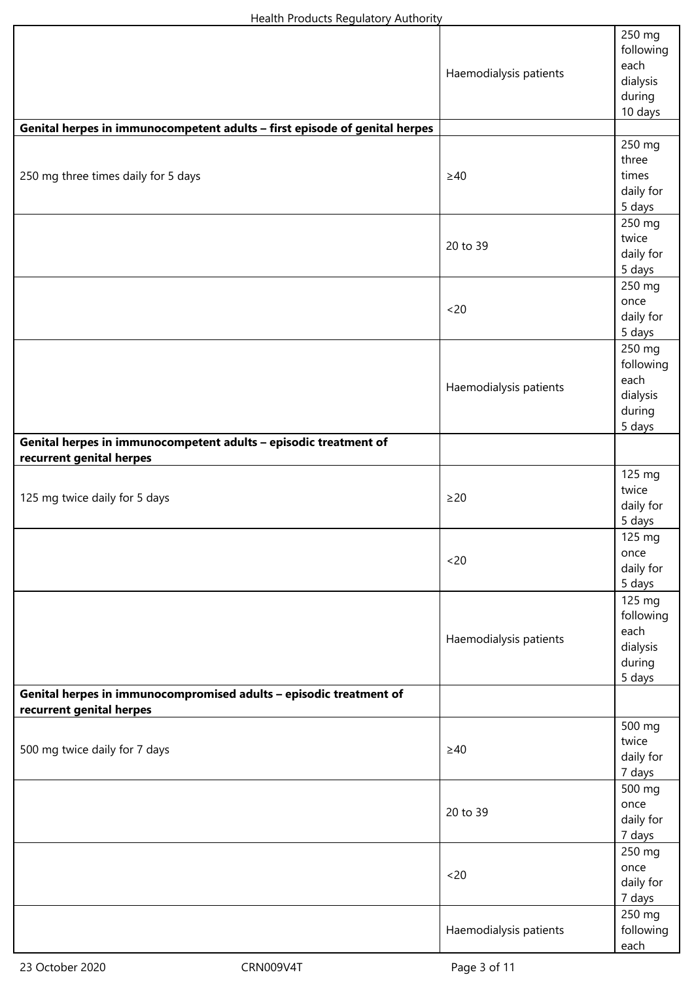|                                                                                                | Haemodialysis patients | 250 mg<br>following<br>each<br>dialysis<br>during<br>10 days |
|------------------------------------------------------------------------------------------------|------------------------|--------------------------------------------------------------|
| Genital herpes in immunocompetent adults - first episode of genital herpes                     |                        |                                                              |
| 250 mg three times daily for 5 days                                                            | $\geq$ 40              | 250 mg<br>three<br>times<br>daily for<br>5 days              |
|                                                                                                | 20 to 39               | 250 mg<br>twice<br>daily for<br>5 days                       |
|                                                                                                | <20                    | 250 mg<br>once<br>daily for<br>5 days                        |
|                                                                                                | Haemodialysis patients | 250 mg<br>following<br>each<br>dialysis<br>during<br>5 days  |
| Genital herpes in immunocompetent adults - episodic treatment of                               |                        |                                                              |
| recurrent genital herpes<br>125 mg twice daily for 5 days                                      | $\geq$ 20              | 125 mg<br>twice<br>daily for<br>5 days                       |
|                                                                                                | <20                    | 125 mg<br>once<br>daily for<br>5 days                        |
|                                                                                                | Haemodialysis patients | 125 mg<br>following<br>each<br>dialysis<br>during<br>5 days  |
| Genital herpes in immunocompromised adults - episodic treatment of<br>recurrent genital herpes |                        |                                                              |
| 500 mg twice daily for 7 days                                                                  | $\geq 40$              | 500 mg<br>twice<br>daily for<br>7 days                       |
|                                                                                                | 20 to 39               | 500 mg<br>once<br>daily for<br>7 days                        |
|                                                                                                | <20                    | 250 mg<br>once<br>daily for<br>7 days                        |
|                                                                                                | Haemodialysis patients | 250 mg<br>following<br>each                                  |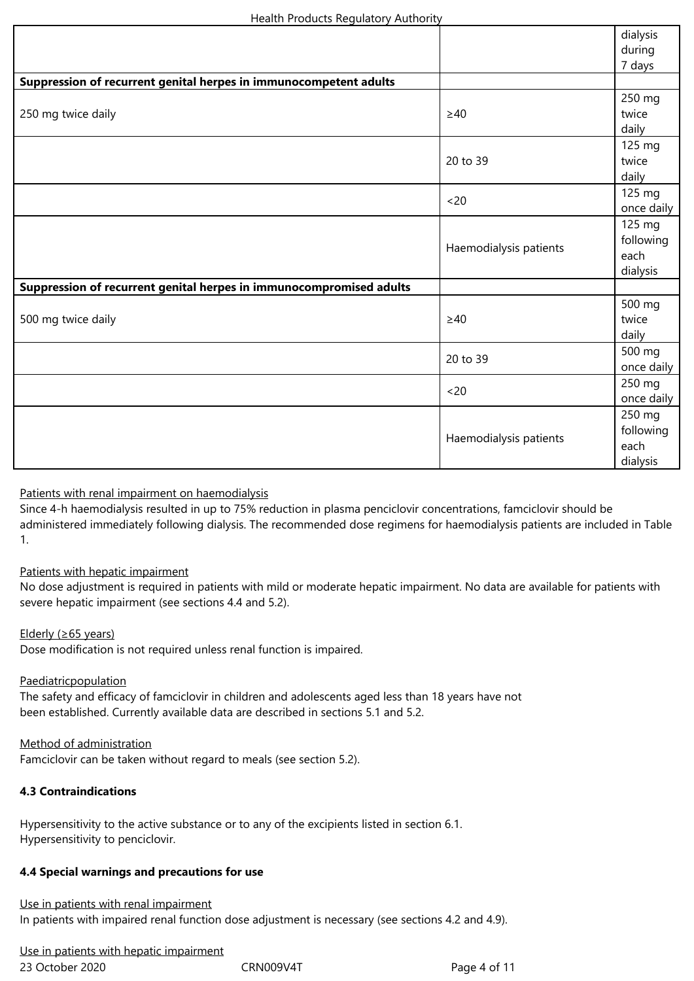|                                                                     |                        | dialysis             |
|---------------------------------------------------------------------|------------------------|----------------------|
|                                                                     |                        | during               |
|                                                                     |                        | 7 days               |
| Suppression of recurrent genital herpes in immunocompetent adults   |                        |                      |
|                                                                     | $\geq 40$              | 250 mg               |
| 250 mg twice daily                                                  |                        | twice                |
|                                                                     |                        | daily                |
|                                                                     |                        | 125 mg               |
|                                                                     | 20 to 39               | twice                |
|                                                                     |                        | daily                |
|                                                                     |                        | 125 mg               |
|                                                                     | <20                    | once daily           |
|                                                                     |                        | 125 mg               |
|                                                                     | Haemodialysis patients | following            |
|                                                                     |                        | each                 |
|                                                                     |                        | dialysis             |
| Suppression of recurrent genital herpes in immunocompromised adults |                        |                      |
|                                                                     | $\geq 40$              | 500 mg               |
| 500 mg twice daily                                                  |                        | twice                |
|                                                                     |                        | daily                |
|                                                                     |                        |                      |
|                                                                     | 20 to 39               | 500 mg<br>once daily |
|                                                                     |                        | 250 mg               |
|                                                                     | <20                    | once daily           |
|                                                                     |                        | 250 mg               |
|                                                                     | Haemodialysis patients | following            |
|                                                                     |                        | each                 |
|                                                                     |                        | dialysis             |
|                                                                     |                        |                      |

## Patients with renal impairment on haemodialysis

Since 4‑h haemodialysis resulted in up to 75% reduction in plasma penciclovir concentrations, famciclovir should be administered immediately following dialysis. The recommended dose regimens for haemodialysis patients are included in Table 1.

#### Patients with hepatic impairment

No dose adjustment is required in patients with mild or moderate hepatic impairment. No data are available for patients with severe hepatic impairment (see sections 4.4 and 5.2).

#### Elderly (≥65 years)

Dose modification is not required unless renal function is impaired.

## Paediatricpopulation

The safety and efficacy of famciclovir in children and adolescents aged less than 18 years have not been established. Currently available data are described in sections 5.1 and 5.2.

## Method of administration

Famciclovir can be taken without regard to meals (see section 5.2).

## **4.3 Contraindications**

Hypersensitivity to the active substance or to any of the excipients listed in section 6.1. Hypersensitivity to penciclovir.

#### **4.4 Special warnings and precautions for use**

## Use in patients with renal impairment In patients with impaired renal function dose adjustment is necessary (see sections 4.2 and 4.9).

23 October 2020 **CRN009V4T** Page 4 of 11 Use in patients with hepatic impairment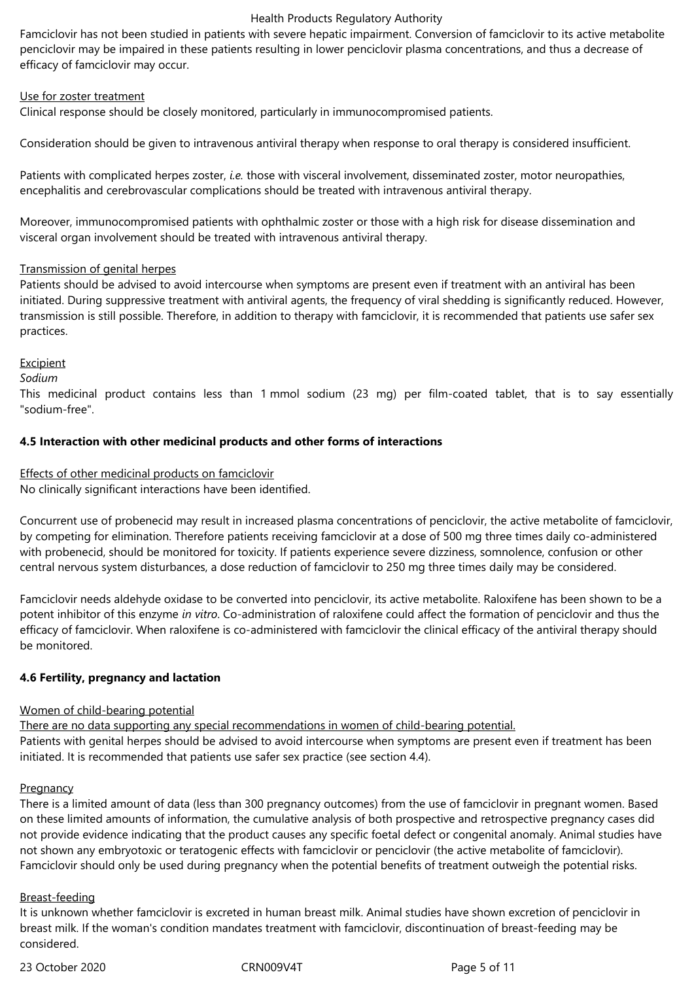Famciclovir has not been studied in patients with severe hepatic impairment. Conversion of famciclovir to its active metabolite penciclovir may be impaired in these patients resulting in lower penciclovir plasma concentrations, and thus a decrease of efficacy of famciclovir may occur.

#### Use for zoster treatment

Clinical response should be closely monitored, particularly in immunocompromised patients.

Consideration should be given to intravenous antiviral therapy when response to oral therapy is considered insufficient.

Patients with complicated herpes zoster, *i.e.* those with visceral involvement, disseminated zoster, motor neuropathies, encephalitis and cerebrovascular complications should be treated with intravenous antiviral therapy.

Moreover, immunocompromised patients with ophthalmic zoster or those with a high risk for disease dissemination and visceral organ involvement should be treated with intravenous antiviral therapy.

#### Transmission of genital herpes

Patients should be advised to avoid intercourse when symptoms are present even if treatment with an antiviral has been initiated. During suppressive treatment with antiviral agents, the frequency of viral shedding is significantly reduced. However, transmission is still possible. Therefore, in addition to therapy with famciclovir, it is recommended that patients use safer sex practices.

#### **Excipient**

*Sodium*

This medicinal product contains less than 1 mmol sodium (23 mg) per film-coated tablet, that is to say essentially "sodium-free".

#### **4.5 Interaction with other medicinal products and other forms of interactions**

Effects of other medicinal products on famciclovir

No clinically significant interactions have been identified.

Concurrent use of probenecid may result in increased plasma concentrations of penciclovir, the active metabolite of famciclovir, by competing for elimination. Therefore patients receiving famciclovir at a dose of 500 mg three times daily co-administered with probenecid, should be monitored for toxicity. If patients experience severe dizziness, somnolence, confusion or other central nervous system disturbances, a dose reduction of famciclovir to 250 mg three times daily may be considered.

Famciclovir needs aldehyde oxidase to be converted into penciclovir, its active metabolite. Raloxifene has been shown to be a potent inhibitor of this enzyme *in vitro*. Co‑administration of raloxifene could affect the formation of penciclovir and thus the efficacy of famciclovir. When raloxifene is co-administered with famciclovir the clinical efficacy of the antiviral therapy should be monitored.

#### **4.6 Fertility, pregnancy and lactation**

#### Women of child-bearing potential

There are no data supporting any special recommendations in women of child-bearing potential. Patients with genital herpes should be advised to avoid intercourse when symptoms are present even if treatment has been initiated. It is recommended that patients use safer sex practice (see section 4.4).

#### **Pregnancy**

There is a limited amount of data (less than 300 pregnancy outcomes) from the use of famciclovir in pregnant women. Based on these limited amounts of information, the cumulative analysis of both prospective and retrospective pregnancy cases did not provide evidence indicating that the product causes any specific foetal defect or congenital anomaly. Animal studies have not shown any embryotoxic or teratogenic effects with famciclovir or penciclovir (the active metabolite of famciclovir). Famciclovir should only be used during pregnancy when the potential benefits of treatment outweigh the potential risks.

#### Breast-feeding

It is unknown whether famciclovir is excreted in human breast milk. Animal studies have shown excretion of penciclovir in breast milk. If the woman's condition mandates treatment with famciclovir, discontinuation of breast-feeding may be considered.

23 October 2020 **CRN009V4T** Page 5 of 11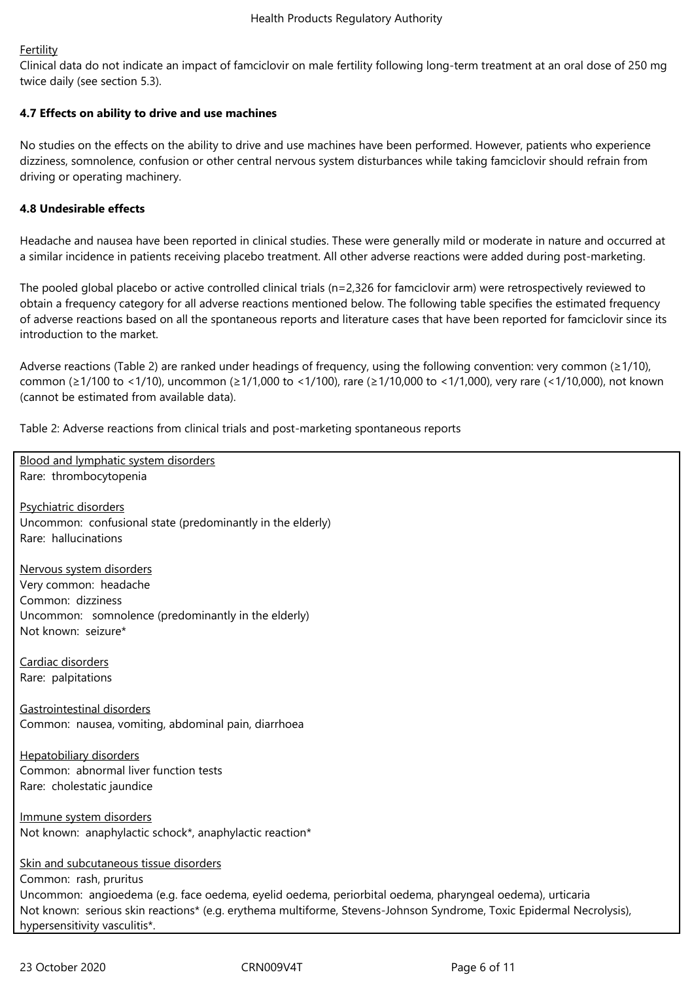## Fertility

Clinical data do not indicate an impact of famciclovir on male fertility following long‑term treatment at an oral dose of 250 mg twice daily (see section 5.3).

## **4.7 Effects on ability to drive and use machines**

No studies on the effects on the ability to drive and use machines have been performed. However, patients who experience dizziness, somnolence, confusion or other central nervous system disturbances while taking famciclovir should refrain from driving or operating machinery.

## **4.8 Undesirable effects**

Headache and nausea have been reported in clinical studies. These were generally mild or moderate in nature and occurred at a similar incidence in patients receiving placebo treatment. All other adverse reactions were added during post-marketing.

The pooled global placebo or active controlled clinical trials (n=2,326 for famciclovir arm) were retrospectively reviewed to obtain a frequency category for all adverse reactions mentioned below. The following table specifies the estimated frequency of adverse reactions based on all the spontaneous reports and literature cases that have been reported for famciclovir since its introduction to the market.

Adverse reactions (Table 2) are ranked under headings of frequency, using the following convention: very common (≥1/10), common (≥1/100 to <1/10), uncommon (≥1/1,000 to <1/100), rare (≥1/10,000 to <1/1,000), very rare (<1/10,000), not known (cannot be estimated from available data).

Table 2: Adverse reactions from clinical trials and post-marketing spontaneous reports

**Blood and lymphatic system disorders** Rare: thrombocytopenia

Psychiatric disorders Uncommon: confusional state (predominantly in the elderly) Rare: hallucinations

Nervous system disorders Very common: headache Common: dizziness Uncommon: somnolence (predominantly in the elderly) Not known: seizure\*

Cardiac disorders Rare: palpitations

Gastrointestinal disorders Common: nausea, vomiting, abdominal pain, diarrhoea

Hepatobiliary disorders Common: abnormal liver function tests Rare: cholestatic jaundice

Immune system disorders Not known: anaphylactic schock\*, anaphylactic reaction\*

Skin and subcutaneous tissue disorders Common: rash, pruritus Uncommon: angioedema (e.g. face oedema, eyelid oedema, periorbital oedema, pharyngeal oedema), urticaria Not known: serious skin reactions\* (e.g. erythema multiforme, Stevens-Johnson Syndrome, Toxic Epidermal Necrolysis), hypersensitivity vasculitis\*.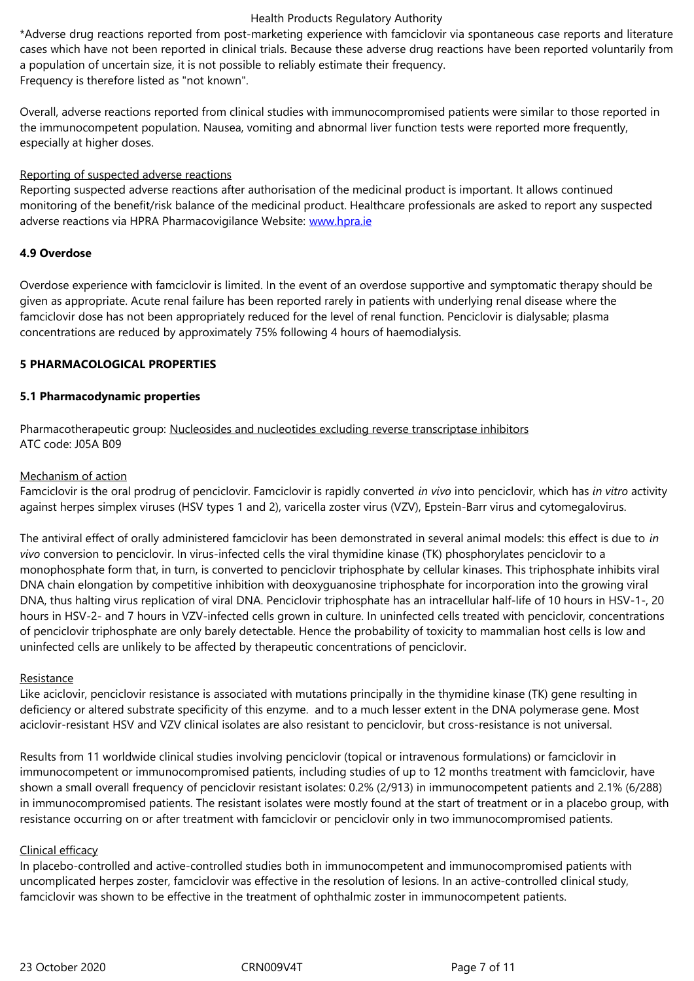a population of uncertain size, it is not possible to reliably estimate their frequency. Frequency is therefore listed as "not known".

Overall, adverse reactions reported from clinical studies with immunocompromised patients were similar to those reported in the immunocompetent population. Nausea, vomiting and abnormal liver function tests were reported more frequently, especially at higher doses.

#### Reporting of suspected adverse reactions

Reporting suspected adverse reactions after authorisation of the medicinal product is important. It allows continued monitoring of the benefit/risk balance of the medicinal product. Healthcare professionals are asked to report any suspected adverse reactions via HPRA Pharmacovigilance Website: www.hpra.ie

## **4.9 Overdose**

Overdose experience with famciclovir is limited. In the e[vent of an ov](http://www.hpra.ie/)erdose supportive and symptomatic therapy should be given as appropriate. Acute renal failure has been reported rarely in patients with underlying renal disease where the famciclovir dose has not been appropriately reduced for the level of renal function. Penciclovir is dialysable; plasma concentrations are reduced by approximately 75% following 4 hours of haemodialysis.

## **5 PHARMACOLOGICAL PROPERTIES**

#### **5.1 Pharmacodynamic properties**

Pharmacotherapeutic group: Nucleosides and nucleotides excluding reverse transcriptase inhibitors ATC code: J05A B09

#### Mechanism of action

Famciclovir is the oral prodrug of penciclovir. Famciclovir is rapidly converted *in vivo* into penciclovir, which has *in vitro* activity against herpes simplex viruses (HSV types 1 and 2), varicella zoster virus (VZV), Epstein-Barr virus and cytomegalovirus.

The antiviral effect of orally administered famciclovir has been demonstrated in several animal models: this effect is due to *in vivo* conversion to penciclovir. In virus‑infected cells the viral thymidine kinase (TK) phosphorylates penciclovir to a monophosphate form that, in turn, is converted to penciclovir triphosphate by cellular kinases. This triphosphate inhibits viral DNA chain elongation by competitive inhibition with deoxyguanosine triphosphate for incorporation into the growing viral DNA, thus halting virus replication of viral DNA. Penciclovir triphosphate has an intracellular half-life of 10 hours in HSV-1-, 20 hours in HSV-2- and 7 hours in VZV-infected cells grown in culture. In uninfected cells treated with penciclovir, concentrations of penciclovir triphosphate are only barely detectable. Hence the probability of toxicity to mammalian host cells is low and uninfected cells are unlikely to be affected by therapeutic concentrations of penciclovir.

#### **Resistance**

Like aciclovir, penciclovir resistance is associated with mutations principally in the thymidine kinase (TK) gene resulting in deficiency or altered substrate specificity of this enzyme. and to a much lesser extent in the DNA polymerase gene. Most aciclovir-resistant HSV and VZV clinical isolates are also resistant to penciclovir, but cross-resistance is not universal.

Results from 11 worldwide clinical studies involving penciclovir (topical or intravenous formulations) or famciclovir in immunocompetent or immunocompromised patients, including studies of up to 12 months treatment with famciclovir, have shown a small overall frequency of penciclovir resistant isolates: 0.2% (2/913) in immunocompetent patients and 2.1% (6/288) in immunocompromised patients. The resistant isolates were mostly found at the start of treatment or in a placebo group, with resistance occurring on or after treatment with famciclovir or penciclovir only in two immunocompromised patients.

## Clinical efficacy

In placebo‑controlled and active‑controlled studies both in immunocompetent and immunocompromised patients with uncomplicated herpes zoster, famciclovir was effective in the resolution of lesions. In an active-controlled clinical study, famciclovir was shown to be effective in the treatment of ophthalmic zoster in immunocompetent patients.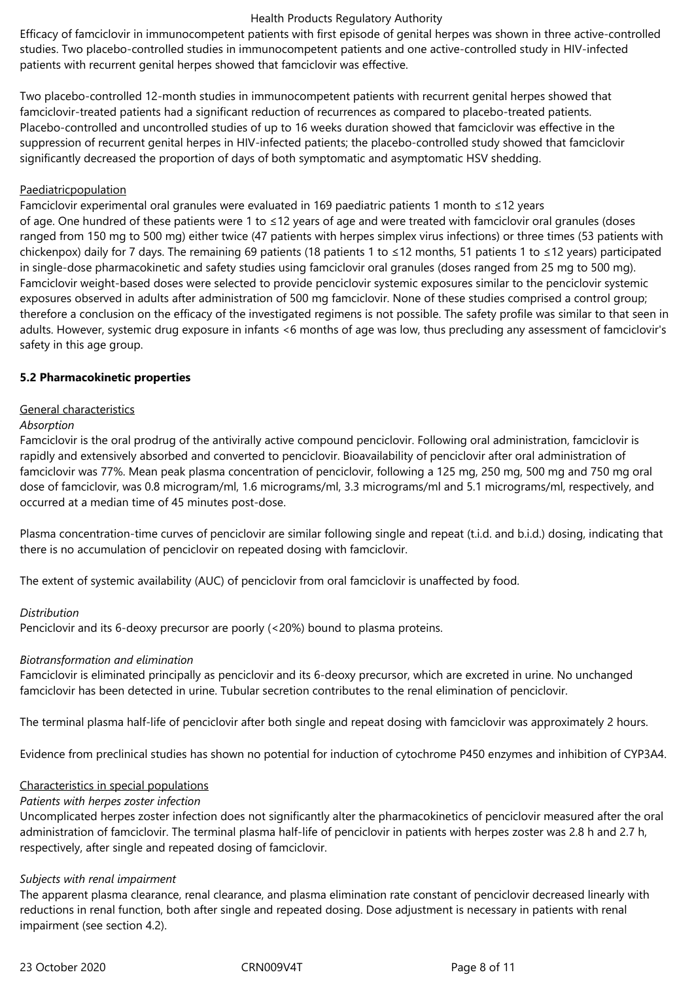Efficacy of famciclovir in immunocompetent patients with first episode of genital herpes was shown in three active-controlled studies. Two placebo-controlled studies in immunocompetent patients and one active-controlled study in HIV-infected patients with recurrent genital herpes showed that famciclovir was effective.

Two placebo‑controlled 12‑month studies in immunocompetent patients with recurrent genital herpes showed that famciclovir-treated patients had a significant reduction of recurrences as compared to placebo-treated patients. Placebo‑controlled and uncontrolled studies of up to 16 weeks duration showed that famciclovir was effective in the suppression of recurrent genital herpes in HIV-infected patients; the placebo-controlled study showed that famciclovir significantly decreased the proportion of days of both symptomatic and asymptomatic HSV shedding.

#### Paediatricpopulation

Famciclovir experimental oral granules were evaluated in 169 paediatric patients 1 month to ≤12 years of age. One hundred of these patients were 1 to ≤12 years of age and were treated with famciclovir oral granules (doses ranged from 150 mg to 500 mg) either twice (47 patients with herpes simplex virus infections) or three times (53 patients with chickenpox) daily for 7 days. The remaining 69 patients (18 patients 1 to ≤12 months, 51 patients 1 to ≤12 years) participated in single-dose pharmacokinetic and safety studies using famciclovir oral granules (doses ranged from 25 mg to 500 mg). Famciclovir weight-based doses were selected to provide penciclovir systemic exposures similar to the penciclovir systemic exposures observed in adults after administration of 500 mg famciclovir. None of these studies comprised a control group; therefore a conclusion on the efficacy of the investigated regimens is not possible. The safety profile was similar to that seen in adults. However, systemic drug exposure in infants <6 months of age was low, thus precluding any assessment of famciclovir's safety in this age group.

#### **5.2 Pharmacokinetic properties**

#### General characteristics

#### *Absorption*

Famciclovir is the oral prodrug of the antivirally active compound penciclovir. Following oral administration, famciclovir is rapidly and extensively absorbed and converted to penciclovir. Bioavailability of penciclovir after oral administration of famciclovir was 77%. Mean peak plasma concentration of penciclovir, following a 125 mg, 250 mg, 500 mg and 750 mg oral dose of famciclovir, was 0.8 microgram/ml, 1.6 micrograms/ml, 3.3 micrograms/ml and 5.1 micrograms/ml, respectively, and occurred at a median time of 45 minutes post-dose.

Plasma concentration-time curves of penciclovir are similar following single and repeat (t.i.d. and b.i.d.) dosing, indicating that there is no accumulation of penciclovir on repeated dosing with famciclovir.

The extent of systemic availability (AUC) of penciclovir from oral famciclovir is unaffected by food.

#### *Distribution*

Penciclovir and its 6‑deoxy precursor are poorly (<20%) bound to plasma proteins.

#### *Biotransformation and elimination*

Famciclovir is eliminated principally as penciclovir and its 6‑deoxy precursor, which are excreted in urine. No unchanged famciclovir has been detected in urine. Tubular secretion contributes to the renal elimination of penciclovir.

The terminal plasma half-life of penciclovir after both single and repeat dosing with famciclovir was approximately 2 hours.

Evidence from preclinical studies has shown no potential for induction of cytochrome P450 enzymes and inhibition of CYP3A4.

#### Characteristics in special populations

#### *Patients with herpes zoster infection*

Uncomplicated herpes zoster infection does not significantly alter the pharmacokinetics of penciclovir measured after the oral administration of famciclovir. The terminal plasma half-life of penciclovir in patients with herpes zoster was 2.8 h and 2.7 h, respectively, after single and repeated dosing of famciclovir.

#### *Subjects with renal impairment*

The apparent plasma clearance, renal clearance, and plasma elimination rate constant of penciclovir decreased linearly with reductions in renal function, both after single and repeated dosing. Dose adjustment is necessary in patients with renal impairment (see section 4.2).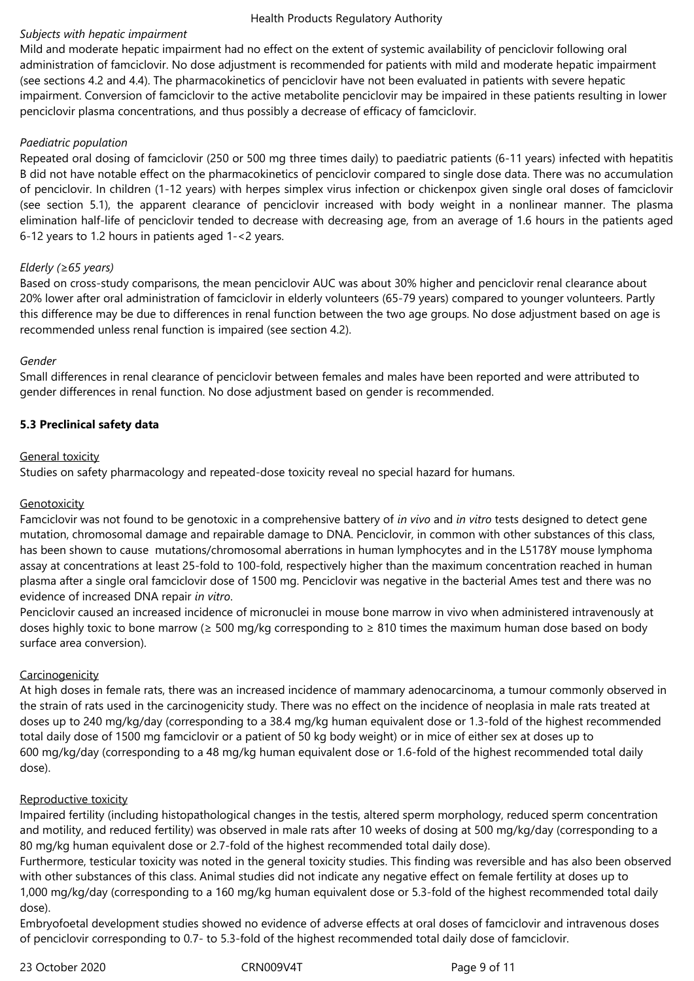## *Subjects with hepatic impairment*

Mild and moderate hepatic impairment had no effect on the extent of systemic availability of penciclovir following oral administration of famciclovir. No dose adjustment is recommended for patients with mild and moderate hepatic impairment (see sections 4.2 and 4.4). The pharmacokinetics of penciclovir have not been evaluated in patients with severe hepatic impairment. Conversion of famciclovir to the active metabolite penciclovir may be impaired in these patients resulting in lower penciclovir plasma concentrations, and thus possibly a decrease of efficacy of famciclovir.

## *Paediatric population*

Repeated oral dosing of famciclovir (250 or 500 mg three times daily) to paediatric patients (6-11 years) infected with hepatitis B did not have notable effect on the pharmacokinetics of penciclovir compared to single dose data. There was no accumulation of penciclovir. In children (1-12 years) with herpes simplex virus infection or chickenpox given single oral doses of famciclovir (see section 5.1), the apparent clearance of penciclovir increased with body weight in a nonlinear manner. The plasma elimination half-life of penciclovir tended to decrease with decreasing age, from an average of 1.6 hours in the patients aged 6-12 years to 1.2 hours in patients aged 1-<2 years.

## *Elderly (≥65 years)*

Based on cross‑study comparisons, the mean penciclovir AUC was about 30% higher and penciclovir renal clearance about 20% lower after oral administration of famciclovir in elderly volunteers (65-79 years) compared to younger volunteers. Partly this difference may be due to differences in renal function between the two age groups. No dose adjustment based on age is recommended unless renal function is impaired (see section 4.2).

## *Gender*

Small differences in renal clearance of penciclovir between females and males have been reported and were attributed to gender differences in renal function. No dose adjustment based on gender is recommended.

## **5.3 Preclinical safety data**

## General toxicity

Studies on safety pharmacology and repeated‑dose toxicity reveal no special hazard for humans.

## **Genotoxicity**

Famciclovir was not found to be genotoxic in a comprehensive battery of *in vivo* and *in vitro* tests designed to detect gene mutation, chromosomal damage and repairable damage to DNA. Penciclovir, in common with other substances of this class, has been shown to cause mutations/chromosomal aberrations in human lymphocytes and in the L5178Y mouse lymphoma assay at concentrations at least 25-fold to 100-fold, respectively higher than the maximum concentration reached in human plasma after a single oral famciclovir dose of 1500 mg. Penciclovir was negative in the bacterial Ames test and there was no evidence of increased DNA repair *in vitro*.

Penciclovir caused an increased incidence of micronuclei in mouse bone marrow in vivo when administered intravenously at doses highly toxic to bone marrow ( $\geq$  500 mg/kg corresponding to  $\geq$  810 times the maximum human dose based on body surface area conversion).

## **Carcinogenicity**

At high doses in female rats, there was an increased incidence of mammary adenocarcinoma, a tumour commonly observed in the strain of rats used in the carcinogenicity study. There was no effect on the incidence of neoplasia in male rats treated at doses up to 240 mg/kg/day (corresponding to a 38.4 mg/kg human equivalent dose or 1.3-fold of the highest recommended total daily dose of 1500 mg famciclovir or a patient of 50 kg body weight) or in mice of either sex at doses up to 600 mg/kg/day (corresponding to a 48 mg/kg human equivalent dose or 1.6-fold of the highest recommended total daily dose).

## Reproductive toxicity

Impaired fertility (including histopathological changes in the testis, altered sperm morphology, reduced sperm concentration and motility, and reduced fertility) was observed in male rats after 10 weeks of dosing at 500 mg/kg/day (corresponding to a 80 mg/kg human equivalent dose or 2.7-fold of the highest recommended total daily dose).

Furthermore, testicular toxicity was noted in the general toxicity studies. This finding was reversible and has also been observed with other substances of this class. Animal studies did not indicate any negative effect on female fertility at doses up to 1,000 mg/kg/day (corresponding to a 160 mg/kg human equivalent dose or 5.3-fold of the highest recommended total daily dose).

Embryofoetal development studies showed no evidence of adverse effects at oral doses of famciclovir and intravenous doses of penciclovir corresponding to 0.7- to 5.3-fold of the highest recommended total daily dose of famciclovir.

23 October 2020 CRN009V4T Page 9 of 11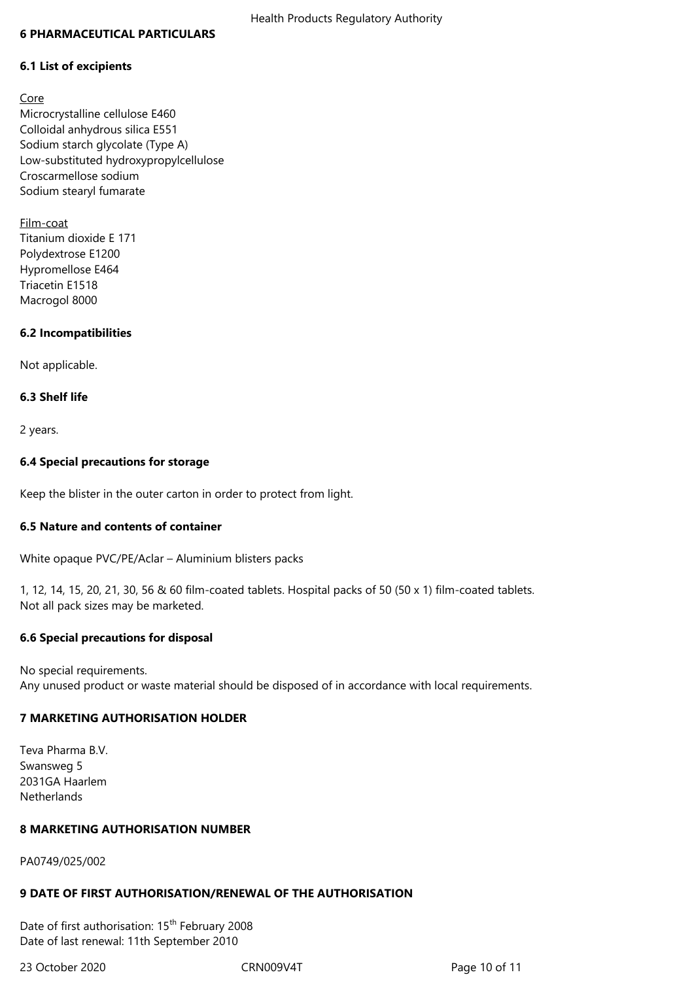#### **6 PHARMACEUTICAL PARTICULARS**

#### **6.1 List of excipients**

Core Microcrystalline cellulose E460 Colloidal anhydrous silica E551 Sodium starch glycolate (Type A) Low-substituted hydroxypropylcellulose Croscarmellose sodium Sodium stearyl fumarate

Film-coat Titanium dioxide E 171 Polydextrose E1200 Hypromellose E464 Triacetin E1518 Macrogol 8000

#### **6.2 Incompatibilities**

Not applicable.

#### **6.3 Shelf life**

2 years.

#### **6.4 Special precautions for storage**

Keep the blister in the outer carton in order to protect from light.

#### **6.5 Nature and contents of container**

White opaque PVC/PE/Aclar – Aluminium blisters packs

1, 12, 14, 15, 20, 21, 30, 56 & 60 film-coated tablets. Hospital packs of 50 (50 x 1) film-coated tablets. Not all pack sizes may be marketed.

#### **6.6 Special precautions for disposal**

No special requirements. Any unused product or waste material should be disposed of in accordance with local requirements.

#### **7 MARKETING AUTHORISATION HOLDER**

Teva Pharma B.V. Swansweg 5 2031GA Haarlem Netherlands

## **8 MARKETING AUTHORISATION NUMBER**

PA0749/025/002

#### **9 DATE OF FIRST AUTHORISATION/RENEWAL OF THE AUTHORISATION**

Date of first authorisation: 15<sup>th</sup> February 2008 Date of last renewal: 11th September 2010

23 October 2020 CRN009V4T Page 10 of 11